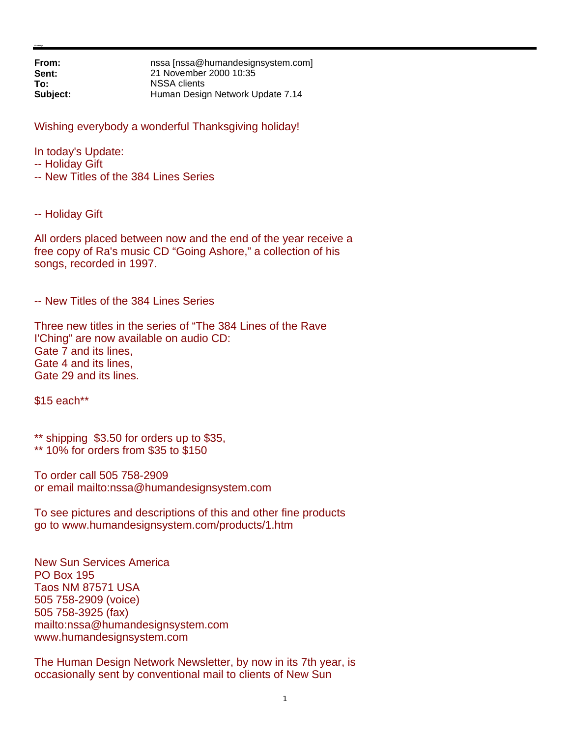**From: nssa [nssa@humandesignsystem.com]**<br> **Sent:** 21 November 2000 10:35 **Sent:** 21 November 2000 10:35 **To:** NSSA clients **Subject:** Human Design Network Update 7.14

Wishing everybody a wonderful Thanksgiving holiday!

In today's Update:

-- Holiday Gift

-- New Titles of the 384 Lines Series

-- Holiday Gift

All orders placed between now and the end of the year receive a free copy of Ra's music CD "Going Ashore," a collection of his songs, recorded in 1997.

-- New Titles of the 384 Lines Series

Three new titles in the series of "The 384 Lines of the Rave I'Ching" are now available on audio CD: Gate 7 and its lines, Gate 4 and its lines, Gate 29 and its lines.

\$15 each\*\*

\*\* shipping \$3.50 for orders up to \$35,

\*\* 10% for orders from \$35 to \$150

To order call 505 758-2909 or email mailto:nssa@humandesignsystem.com

To see pictures and descriptions of this and other fine products go to www.humandesignsystem.com/products/1.htm

New Sun Services America PO Box 195 Taos NM 87571 USA 505 758-2909 (voice) 505 758-3925 (fax) mailto:nssa@humandesignsystem.com www.humandesignsystem.com

The Human Design Network Newsletter, by now in its 7th year, is occasionally sent by conventional mail to clients of New Sun